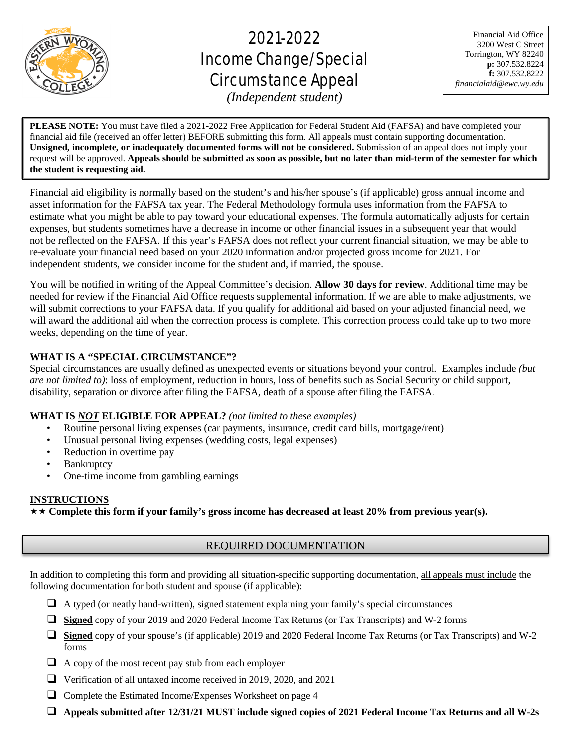

֦

# 2021-2022 Income Change/Special Circumstance Appeal

Financial Aid Office 3200 West C Street Torrington, WY 82240 **p:** 307.532.8224 **f:** 307.532.8222 *financialaid@ewc.wy.edu*

*(Independent student)*

**PLEASE NOTE:** You must have filed a 2021-2022 Free Application for Federal Student Aid (FAFSA) and have completed your financial aid file (received an offer letter) BEFORE submitting this form. All appeals must contain supporting documentation. **Unsigned, incomplete, or inadequately documented forms will not be considered.** Submission of an appeal does not imply your request will be approved. **Appeals should be submitted as soon as possible, but no later than mid-term of the semester for which the student is requesting aid.**

Financial aid eligibility is normally based on the student's and his/her spouse's (if applicable) gross annual income and asset information for the FAFSA tax year. The Federal Methodology formula uses information from the FAFSA to estimate what you might be able to pay toward your educational expenses. The formula automatically adjusts for certain expenses, but students sometimes have a decrease in income or other financial issues in a subsequent year that would not be reflected on the FAFSA. If this year's FAFSA does not reflect your current financial situation, we may be able to re-evaluate your financial need based on your 2020 information and/or projected gross income for 2021. For independent students, we consider income for the student and, if married, the spouse.

You will be notified in writing of the Appeal Committee's decision. **Allow 30 days for review**. Additional time may be needed for review if the Financial Aid Office requests supplemental information. If we are able to make adjustments, we will submit corrections to your FAFSA data. If you qualify for additional aid based on your adjusted financial need, we will award the additional aid when the correction process is complete. This correction process could take up to two more weeks, depending on the time of year.

# **WHAT IS A "SPECIAL CIRCUMSTANCE"?**

Special circumstances are usually defined as unexpected events or situations beyond your control. Examples include *(but are not limited to)*: loss of employment, reduction in hours, loss of benefits such as Social Security or child support, disability, separation or divorce after filing the FAFSA, death of a spouse after filing the FAFSA.

# **WHAT IS** *NOT* **ELIGIBLE FOR APPEAL?** *(not limited to these examples)*

- Routine personal living expenses (car payments, insurance, credit card bills, mortgage/rent)
- Unusual personal living expenses (wedding costs, legal expenses)
- Reduction in overtime pay
- **Bankruptcy**
- One-time income from gambling earnings

# **INSTRUCTIONS**

**Complete this form if your family's gross income has decreased at least 20% from previous year(s).**

# REQUIRED DOCUMENTATION

In addition to completing this form and providing all situation-specific supporting documentation, all appeals must include the following documentation for both student and spouse (if applicable):

- $\Box$  A typed (or neatly hand-written), signed statement explaining your family's special circumstances
- **Signed** copy of your 2019 and 2020 Federal Income Tax Returns (or Tax Transcripts) and W-2 forms
- **Signed** copy of your spouse's (if applicable) 2019 and 2020 Federal Income Tax Returns (or Tax Transcripts) and W-2 forms
- $\Box$  A copy of the most recent pay stub from each employer
- Verification of all untaxed income received in 2019, 2020, and 2021
- $\Box$  Complete the Estimated Income/Expenses Worksheet on page 4
- **Appeals submitted after 12/31/21 MUST include signed copies of 2021 Federal Income Tax Returns and all W-2s**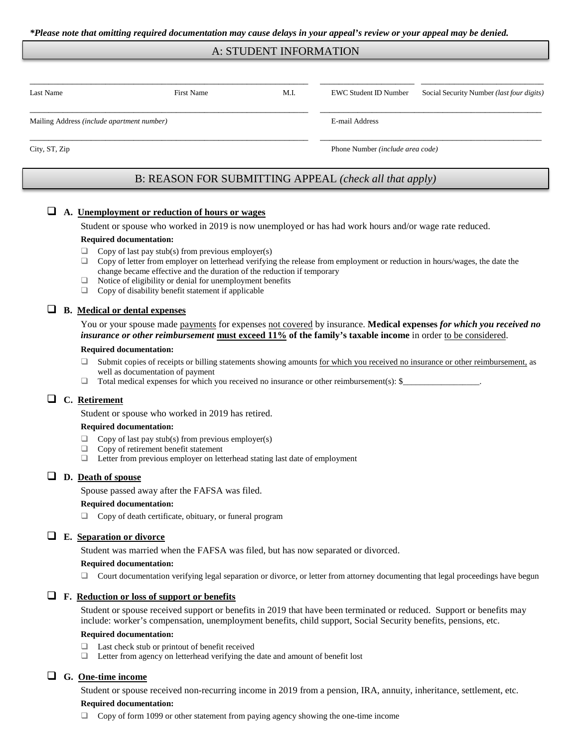### A: STUDENT INFORMATION

| Last Name                                  | <b>First Name</b> | M.I. | EWC Student ID Number            | Social Security Number (last four digits) |  |
|--------------------------------------------|-------------------|------|----------------------------------|-------------------------------------------|--|
| Mailing Address (include apartment number) |                   |      | E-mail Address                   |                                           |  |
| City, ST, Zip                              |                   |      | Phone Number (include area code) |                                           |  |

# B: REASON FOR SUBMITTING APPEAL *(check all that apply)*

## **A. Unemployment or reduction of hours or wages**

Student or spouse who worked in 2019 is now unemployed or has had work hours and/or wage rate reduced.

#### **Required documentation:**

- $\Box$  Copy of last pay stub(s) from previous employer(s)
- $\Box$  Copy of letter from employer on letterhead verifying the release from employment or reduction in hours/wages, the date the change became effective and the duration of the reduction if temporary
- $\Box$  Notice of eligibility or denial for unemployment benefits
- $\Box$  Copy of disability benefit statement if applicable

#### **B. Medical or dental expenses**

You or your spouse made payments for expenses not covered by insurance. Medical expenses *for which you received no insurance or other reimbursement* **must exceed 11% of the family's taxable income** in order to be considered.

#### **Required documentation:**

- □ Submit copies of receipts or billing statements showing amounts for which you received no insurance or other reimbursement, as well as documentation of payment
- Total medical expenses for which you received no insurance or other reimbursement(s): \$

## **C. Retirement**

Student or spouse who worked in 2019 has retired.

#### **Required documentation:**

- $\Box$  Copy of last pay stub(s) from previous employer(s)
- $\Box$  Copy of retirement benefit statement  $\Box$  Letter from previous employer on let
- Letter from previous employer on letterhead stating last date of employment

## **D. Death of spouse**

Spouse passed away after the FAFSA was filed.

#### **Required documentation:**

□ Copy of death certificate, obituary, or funeral program

### **E. Separation or divorce**

Student was married when the FAFSA was filed, but has now separated or divorced.

#### **Required documentation:**

 $\Box$  Court documentation verifying legal separation or divorce, or letter from attorney documenting that legal proceedings have begun

## **F. Reduction or loss of support or benefits**

Student or spouse received support or benefits in 2019 that have been terminated or reduced. Support or benefits may include: worker's compensation, unemployment benefits, child support, Social Security benefits, pensions, etc.

#### **Required documentation:**

- $\Box$  Last check stub or printout of benefit received
- □ Letter from agency on letterhead verifying the date and amount of benefit lost

## **G. One-time income**

Student or spouse received non-recurring income in 2019 from a pension, IRA, annuity, inheritance, settlement, etc.

#### **Required documentation:**

 $\Box$  Copy of form 1099 or other statement from paying agency showing the one-time income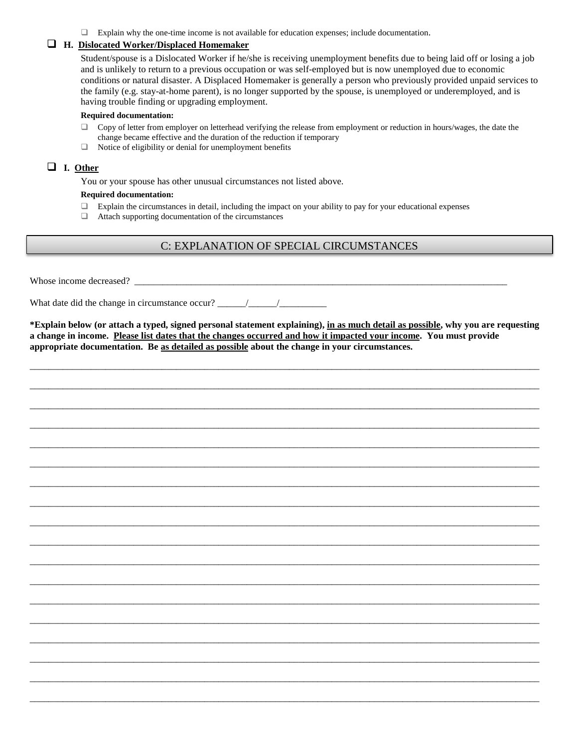Explain why the one-time income is not available for education expenses; include documentation.

## **H. Dislocated Worker/Displaced Homemaker**

Student/spouse is a Dislocated Worker if he/she is receiving unemployment benefits due to being laid off or losing a job and is unlikely to return to a previous occupation or was self-employed but is now unemployed due to economic conditions or natural disaster. A Displaced Homemaker is generally a person who previously provided unpaid services to the family (e.g. stay-at-home parent), is no longer supported by the spouse, is unemployed or underemployed, and is having trouble finding or upgrading employment.

#### **Required documentation:**

- $\Box$  Copy of letter from employer on letterhead verifying the release from employment or reduction in hours/wages, the date the change became effective and the duration of the reduction if temporary
- $\Box$  Notice of eligibility or denial for unemployment benefits

## **I. Other**

You or your spouse has other unusual circumstances not listed above.

#### **Required documentation:**

- $\Box$  Explain the circumstances in detail, including the impact on your ability to pay for your educational expenses  $\Box$  Attach supporting documentation of the circumstances
- Attach supporting documentation of the circumstances

# C: EXPLANATION OF SPECIAL CIRCUMSTANCES

Whose income decreased?

What date did the change in circumstance occur?  $\frac{1}{\sqrt{1-\frac{1}{2}}\sqrt{1-\frac{1}{2}}\sqrt{1-\frac{1}{2}}\sqrt{1-\frac{1}{2}}\sqrt{1-\frac{1}{2}}\sqrt{1-\frac{1}{2}}\sqrt{1-\frac{1}{2}}\sqrt{1-\frac{1}{2}}\sqrt{1-\frac{1}{2}}\sqrt{1-\frac{1}{2}}\sqrt{1-\frac{1}{2}}\sqrt{1-\frac{1}{2}}\sqrt{1-\frac{1}{2}}\sqrt{1-\frac{1}{2}}\sqrt{1-\frac{1}{2}}\sqrt$ 

**\*Explain below (or attach a typed, signed personal statement explaining), in as much detail as possible, why you are requesting a change in income. Please list dates that the changes occurred and how it impacted your income. You must provide appropriate documentation. Be as detailed as possible about the change in your circumstances.** 

\_\_\_\_\_\_\_\_\_\_\_\_\_\_\_\_\_\_\_\_\_\_\_\_\_\_\_\_\_\_\_\_\_\_\_\_\_\_\_\_\_\_\_\_\_\_\_\_\_\_\_\_\_\_\_\_\_\_\_\_\_\_\_\_\_\_\_\_\_\_\_\_\_\_\_\_\_\_\_\_\_\_\_\_\_\_\_\_\_\_\_\_\_\_\_\_\_\_\_\_\_\_\_\_\_\_\_\_

\_\_\_\_\_\_\_\_\_\_\_\_\_\_\_\_\_\_\_\_\_\_\_\_\_\_\_\_\_\_\_\_\_\_\_\_\_\_\_\_\_\_\_\_\_\_\_\_\_\_\_\_\_\_\_\_\_\_\_\_\_\_\_\_\_\_\_\_\_\_\_\_\_\_\_\_\_\_\_\_\_\_\_\_\_\_\_\_\_\_\_\_\_\_\_\_\_\_\_\_\_\_\_\_\_\_\_\_

\_\_\_\_\_\_\_\_\_\_\_\_\_\_\_\_\_\_\_\_\_\_\_\_\_\_\_\_\_\_\_\_\_\_\_\_\_\_\_\_\_\_\_\_\_\_\_\_\_\_\_\_\_\_\_\_\_\_\_\_\_\_\_\_\_\_\_\_\_\_\_\_\_\_\_\_\_\_\_\_\_\_\_\_\_\_\_\_\_\_\_\_\_\_\_\_\_\_\_\_\_\_\_\_\_\_\_\_

\_\_\_\_\_\_\_\_\_\_\_\_\_\_\_\_\_\_\_\_\_\_\_\_\_\_\_\_\_\_\_\_\_\_\_\_\_\_\_\_\_\_\_\_\_\_\_\_\_\_\_\_\_\_\_\_\_\_\_\_\_\_\_\_\_\_\_\_\_\_\_\_\_\_\_\_\_\_\_\_\_\_\_\_\_\_\_\_\_\_\_\_\_\_\_\_\_\_\_\_\_\_\_\_\_\_\_\_

\_\_\_\_\_\_\_\_\_\_\_\_\_\_\_\_\_\_\_\_\_\_\_\_\_\_\_\_\_\_\_\_\_\_\_\_\_\_\_\_\_\_\_\_\_\_\_\_\_\_\_\_\_\_\_\_\_\_\_\_\_\_\_\_\_\_\_\_\_\_\_\_\_\_\_\_\_\_\_\_\_\_\_\_\_\_\_\_\_\_\_\_\_\_\_\_\_\_\_\_\_\_\_\_\_\_\_\_

\_\_\_\_\_\_\_\_\_\_\_\_\_\_\_\_\_\_\_\_\_\_\_\_\_\_\_\_\_\_\_\_\_\_\_\_\_\_\_\_\_\_\_\_\_\_\_\_\_\_\_\_\_\_\_\_\_\_\_\_\_\_\_\_\_\_\_\_\_\_\_\_\_\_\_\_\_\_\_\_\_\_\_\_\_\_\_\_\_\_\_\_\_\_\_\_\_\_\_\_\_\_\_\_\_\_\_\_

\_\_\_\_\_\_\_\_\_\_\_\_\_\_\_\_\_\_\_\_\_\_\_\_\_\_\_\_\_\_\_\_\_\_\_\_\_\_\_\_\_\_\_\_\_\_\_\_\_\_\_\_\_\_\_\_\_\_\_\_\_\_\_\_\_\_\_\_\_\_\_\_\_\_\_\_\_\_\_\_\_\_\_\_\_\_\_\_\_\_\_\_\_\_\_\_\_\_\_\_\_\_\_\_\_\_\_\_

\_\_\_\_\_\_\_\_\_\_\_\_\_\_\_\_\_\_\_\_\_\_\_\_\_\_\_\_\_\_\_\_\_\_\_\_\_\_\_\_\_\_\_\_\_\_\_\_\_\_\_\_\_\_\_\_\_\_\_\_\_\_\_\_\_\_\_\_\_\_\_\_\_\_\_\_\_\_\_\_\_\_\_\_\_\_\_\_\_\_\_\_\_\_\_\_\_\_\_\_\_\_\_\_\_\_\_\_

\_\_\_\_\_\_\_\_\_\_\_\_\_\_\_\_\_\_\_\_\_\_\_\_\_\_\_\_\_\_\_\_\_\_\_\_\_\_\_\_\_\_\_\_\_\_\_\_\_\_\_\_\_\_\_\_\_\_\_\_\_\_\_\_\_\_\_\_\_\_\_\_\_\_\_\_\_\_\_\_\_\_\_\_\_\_\_\_\_\_\_\_\_\_\_\_\_\_\_\_\_\_\_\_\_\_\_\_

\_\_\_\_\_\_\_\_\_\_\_\_\_\_\_\_\_\_\_\_\_\_\_\_\_\_\_\_\_\_\_\_\_\_\_\_\_\_\_\_\_\_\_\_\_\_\_\_\_\_\_\_\_\_\_\_\_\_\_\_\_\_\_\_\_\_\_\_\_\_\_\_\_\_\_\_\_\_\_\_\_\_\_\_\_\_\_\_\_\_\_\_\_\_\_\_\_\_\_\_\_\_\_\_\_\_\_\_

\_\_\_\_\_\_\_\_\_\_\_\_\_\_\_\_\_\_\_\_\_\_\_\_\_\_\_\_\_\_\_\_\_\_\_\_\_\_\_\_\_\_\_\_\_\_\_\_\_\_\_\_\_\_\_\_\_\_\_\_\_\_\_\_\_\_\_\_\_\_\_\_\_\_\_\_\_\_\_\_\_\_\_\_\_\_\_\_\_\_\_\_\_\_\_\_\_\_\_\_\_\_\_\_\_\_\_\_

\_\_\_\_\_\_\_\_\_\_\_\_\_\_\_\_\_\_\_\_\_\_\_\_\_\_\_\_\_\_\_\_\_\_\_\_\_\_\_\_\_\_\_\_\_\_\_\_\_\_\_\_\_\_\_\_\_\_\_\_\_\_\_\_\_\_\_\_\_\_\_\_\_\_\_\_\_\_\_\_\_\_\_\_\_\_\_\_\_\_\_\_\_\_\_\_\_\_\_\_\_\_\_\_\_\_\_\_

\_\_\_\_\_\_\_\_\_\_\_\_\_\_\_\_\_\_\_\_\_\_\_\_\_\_\_\_\_\_\_\_\_\_\_\_\_\_\_\_\_\_\_\_\_\_\_\_\_\_\_\_\_\_\_\_\_\_\_\_\_\_\_\_\_\_\_\_\_\_\_\_\_\_\_\_\_\_\_\_\_\_\_\_\_\_\_\_\_\_\_\_\_\_\_\_\_\_\_\_\_\_\_\_\_\_\_\_

\_\_\_\_\_\_\_\_\_\_\_\_\_\_\_\_\_\_\_\_\_\_\_\_\_\_\_\_\_\_\_\_\_\_\_\_\_\_\_\_\_\_\_\_\_\_\_\_\_\_\_\_\_\_\_\_\_\_\_\_\_\_\_\_\_\_\_\_\_\_\_\_\_\_\_\_\_\_\_\_\_\_\_\_\_\_\_\_\_\_\_\_\_\_\_\_\_\_\_\_\_\_\_\_\_\_\_\_

\_\_\_\_\_\_\_\_\_\_\_\_\_\_\_\_\_\_\_\_\_\_\_\_\_\_\_\_\_\_\_\_\_\_\_\_\_\_\_\_\_\_\_\_\_\_\_\_\_\_\_\_\_\_\_\_\_\_\_\_\_\_\_\_\_\_\_\_\_\_\_\_\_\_\_\_\_\_\_\_\_\_\_\_\_\_\_\_\_\_\_\_\_\_\_\_\_\_\_\_\_\_\_\_\_\_\_\_

\_\_\_\_\_\_\_\_\_\_\_\_\_\_\_\_\_\_\_\_\_\_\_\_\_\_\_\_\_\_\_\_\_\_\_\_\_\_\_\_\_\_\_\_\_\_\_\_\_\_\_\_\_\_\_\_\_\_\_\_\_\_\_\_\_\_\_\_\_\_\_\_\_\_\_\_\_\_\_\_\_\_\_\_\_\_\_\_\_\_\_\_\_\_\_\_\_\_\_\_\_\_\_\_\_\_\_\_

\_\_\_\_\_\_\_\_\_\_\_\_\_\_\_\_\_\_\_\_\_\_\_\_\_\_\_\_\_\_\_\_\_\_\_\_\_\_\_\_\_\_\_\_\_\_\_\_\_\_\_\_\_\_\_\_\_\_\_\_\_\_\_\_\_\_\_\_\_\_\_\_\_\_\_\_\_\_\_\_\_\_\_\_\_\_\_\_\_\_\_\_\_\_\_\_\_\_\_\_\_\_\_\_\_\_\_\_

\_\_\_\_\_\_\_\_\_\_\_\_\_\_\_\_\_\_\_\_\_\_\_\_\_\_\_\_\_\_\_\_\_\_\_\_\_\_\_\_\_\_\_\_\_\_\_\_\_\_\_\_\_\_\_\_\_\_\_\_\_\_\_\_\_\_\_\_\_\_\_\_\_\_\_\_\_\_\_\_\_\_\_\_\_\_\_\_\_\_\_\_\_\_\_\_\_\_\_\_\_\_\_\_\_\_\_\_